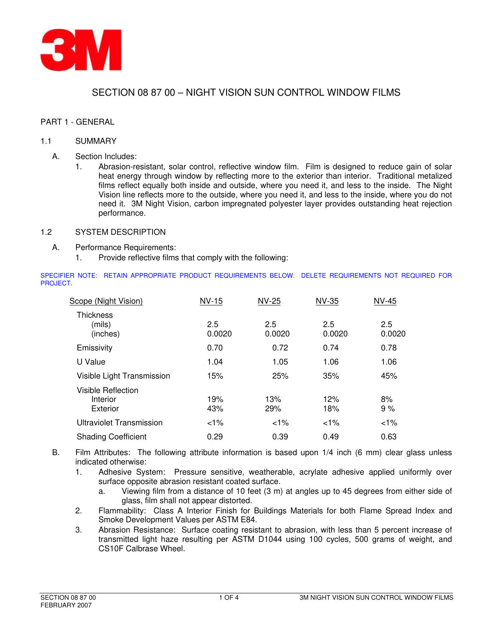

# SECTION 08 87 00 – NIGHT VISION SUN CONTROL WINDOW FILMS

# PART 1 - GENERAL

#### 1.1 SUMMARY

- A. Section Includes:
	- 1. Abrasion-resistant, solar control, reflective window film. Film is designed to reduce gain of solar heat energy through window by reflecting more to the exterior than interior. Traditional metalized films reflect equally both inside and outside, where you need it, and less to the inside. The Night Vision line reflects more to the outside, where you need it, and less to the inside, where you do not need it. 3M Night Vision, carbon impregnated polyester layer provides outstanding heat rejection performance.

# 1.2 SYSTEM DESCRIPTION

- A. Performance Requirements:
	- 1. Provide reflective films that comply with the following:

SPECIFIER NOTE: RETAIN APPROPRIATE PRODUCT REQUIREMENTS BELOW. DELETE REQUIREMENTS NOT REQUIRED FOR PROJECT.

| Scope (Night Vision)                       | <b>NV-15</b>  | <b>NV-25</b>  | <b>NV-35</b>  | <b>NV-45</b>  |
|--------------------------------------------|---------------|---------------|---------------|---------------|
| <b>Thickness</b><br>(mils)<br>(inches)     | 2.5<br>0.0020 | 2.5<br>0.0020 | 2.5<br>0.0020 | 2.5<br>0.0020 |
| Emissivity                                 | 0.70          | 0.72          | 0.74          | 0.78          |
| U Value                                    | 1.04          | 1.05          | 1.06          | 1.06          |
| Visible Light Transmission                 | 15%           | 25%           | 35%           | 45%           |
| Visible Reflection<br>Interior<br>Exterior | 19%<br>43%    | 13%<br>29%    | 12%<br>18%    | 8%<br>9%      |
| Ultraviolet Transmission                   | 1%            | 1%            | $1\%$         | 1%            |
| <b>Shading Coefficient</b>                 | 0.29          | 0.39          | 0.49          | 0.63          |

B. Film Attributes: The following attribute information is based upon 1/4 inch (6 mm) clear glass unless indicated otherwise:

- 1. Adhesive System: Pressure sensitive, weatherable, acrylate adhesive applied uniformly over surface opposite abrasion resistant coated surface.
	- a. Viewing film from a distance of 10 feet (3 m) at angles up to 45 degrees from either side of glass, film shall not appear distorted.
- 2. Flammability: Class A Interior Finish for Buildings Materials for both Flame Spread Index and Smoke Development Values per ASTM E84.
- 3. Abrasion Resistance: Surface coating resistant to abrasion, with less than 5 percent increase of transmitted light haze resulting per ASTM D1044 using 100 cycles, 500 grams of weight, and CS10F Calbrase Wheel.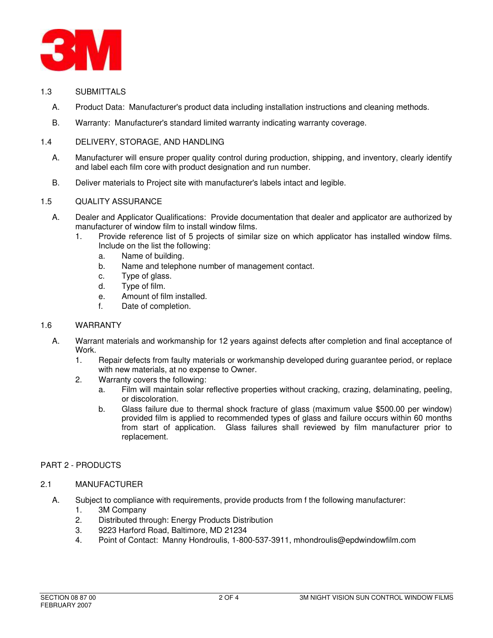

- 1.3 SUBMITTALS
	- A. Product Data: Manufacturer's product data including installation instructions and cleaning methods.
	- B. Warranty: Manufacturer's standard limited warranty indicating warranty coverage.

# 1.4 DELIVERY, STORAGE, AND HANDLING

- A. Manufacturer will ensure proper quality control during production, shipping, and inventory, clearly identify and label each film core with product designation and run number.
- B. Deliver materials to Project site with manufacturer's labels intact and legible.

# 1.5 QUALITY ASSURANCE

- A. Dealer and Applicator Qualifications: Provide documentation that dealer and applicator are authorized by manufacturer of window film to install window films.
	- 1. Provide reference list of 5 projects of similar size on which applicator has installed window films. Include on the list the following:
		- a. Name of building.
		- b. Name and telephone number of management contact.
		- c. Type of glass.
		- d. Type of film.
		- e. Amount of film installed.
		- f. Date of completion.

#### 1.6 WARRANTY

- A. Warrant materials and workmanship for 12 years against defects after completion and final acceptance of Work.
	- 1. Repair defects from faulty materials or workmanship developed during guarantee period, or replace with new materials, at no expense to Owner.
	- 2. Warranty covers the following:
		- a. Film will maintain solar reflective properties without cracking, crazing, delaminating, peeling, or discoloration.
		- b. Glass failure due to thermal shock fracture of glass (maximum value \$500.00 per window) provided film is applied to recommended types of glass and failure occurs within 60 months from start of application. Glass failures shall reviewed by film manufacturer prior to replacement.

#### PART 2 - PRODUCTS

#### 2.1 MANUFACTURER

- A. Subject to compliance with requirements, provide products from f the following manufacturer:
	- 1. 3M Company
	- 2. Distributed through: Energy Products Distribution
	- 3. 9223 Harford Road, Baltimore, MD 21234
	- 4. Point of Contact: Manny Hondroulis, 1-800-537-3911, mhondroulis@epdwindowfilm.com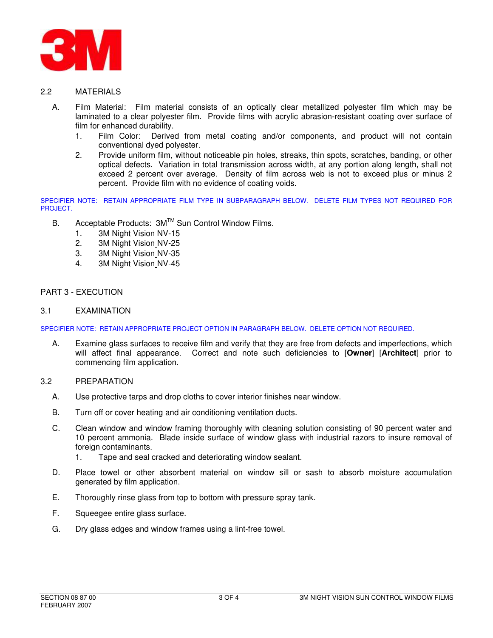

# 2.2 MATERIALS

- A. Film Material: Film material consists of an optically clear metallized polyester film which may be laminated to a clear polyester film. Provide films with acrylic abrasion-resistant coating over surface of film for enhanced durability.
	- 1. Film Color: Derived from metal coating and/or components, and product will not contain conventional dyed polyester.
	- 2. Provide uniform film, without noticeable pin holes, streaks, thin spots, scratches, banding, or other optical defects. Variation in total transmission across width, at any portion along length, shall not exceed 2 percent over average. Density of film across web is not to exceed plus or minus 2 percent. Provide film with no evidence of coating voids.

SPECIFIER NOTE: RETAIN APPROPRIATE FILM TYPE IN SUBPARAGRAPH BELOW. DELETE FILM TYPES NOT REQUIRED FOR PROJECT.

- B. Acceptable Products: 3M™ Sun Control Window Films.
	- 1. 3M Night Vision NV-15
	- 2. 3M Night Vision NV-25
	- 3. 3M Night Vision NV-35
	- 4. 3M Night Vision NV-45

# PART 3 - EXECUTION

#### 3.1 EXAMINATION

SPECIFIER NOTE: RETAIN APPROPRIATE PROJECT OPTION IN PARAGRAPH BELOW. DELETE OPTION NOT REQUIRED.

A. Examine glass surfaces to receive film and verify that they are free from defects and imperfections, which will affect final appearance. Correct and note such deficiencies to [**Owner**] [**Architect**] prior to commencing film application.

#### 3.2 PREPARATION

- A. Use protective tarps and drop cloths to cover interior finishes near window.
- B. Turn off or cover heating and air conditioning ventilation ducts.
- C. Clean window and window framing thoroughly with cleaning solution consisting of 90 percent water and 10 percent ammonia. Blade inside surface of window glass with industrial razors to insure removal of foreign contaminants.
	- 1. Tape and seal cracked and deteriorating window sealant.
- D. Place towel or other absorbent material on window sill or sash to absorb moisture accumulation generated by film application.
- E. Thoroughly rinse glass from top to bottom with pressure spray tank.
- F. Squeegee entire glass surface.
- G. Dry glass edges and window frames using a lint-free towel.